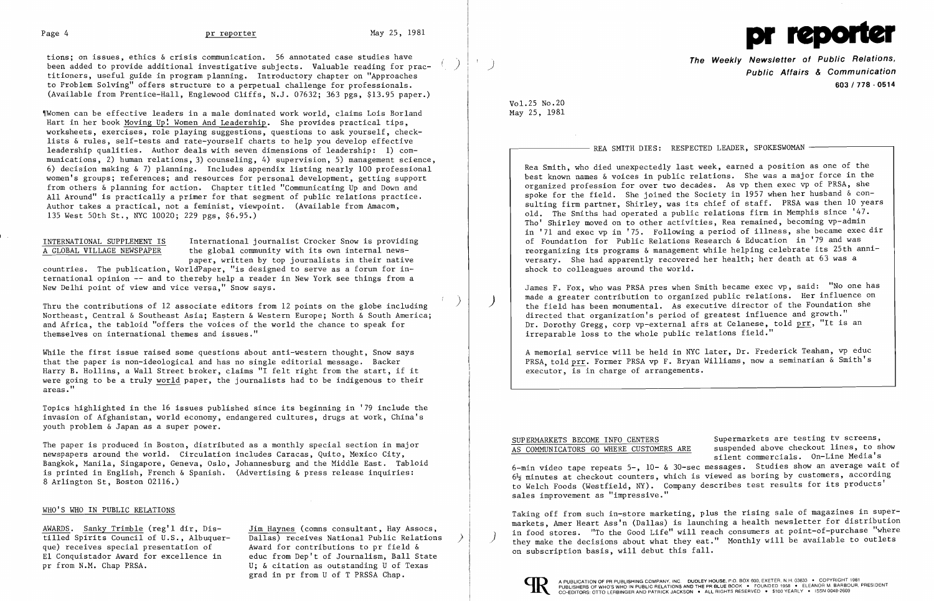

tions; on issues, ethics & crisis communication. 56 annotated case studies have been added to provide additional investigative subjects. Valuable reading for practitioners, useful guide in program planning. Introductory chapter on "Approaches to Problem Solving" offers structure to a perpetual challenge for professionals. (Available from Prentice-Hall, Englewood Cliffs, N.J. 07632; 363 pgs, \$13.95 paper.)

Women can be effective leaders in a male dominated work world, claims Lois Borland Hart in her book Moving Up! Women And Leadership. She provides practical tips, worksheets, exercises, role playing suggestions, questions to ask yourself, checklists & rules, self-tests and rate-yourself charts to help you develop effective leadership qualities. Author deals with seven dimensions of leadership: 1) communications, 2) human relations, 3) counseling, 4) supervision, 5) management science, 6) decision making & 7) planning. Includes appendix listing nearly 100 professional women's groups; references; and resources for personal development, getting support from others & planning for action. Chapter titled "Communicating Up and Down and *All* Around" is practically a primer for that segment of public relations practice. Author takes a practical, not a feminist, viewpoint. (Available from Amacom, 135 West 50th St., NYC 10020; 229 pgs, \$6.95.)

INTERNATIONAL SUPPLEMENT IS<br>A GLOBAL VILLAGE NEWSPAPER the global community with its own internal newsthe global community with its own internal newspaper, written by top journalists in their native

While the first issue raised some questions about anti-western thought, Snow says that the paper is non-ideological and has no single editorial message. Backer Harry B. Hollins, a Wall Street broker, claims "I felt right from the start, if it were going to be a truly world paper, the journalists had to be indigenous to their areas."

countries. The publication, Wor1dPaper, "is designed to serve as a forum for international opinion -- and to thereby help a reader in New York see things from a New Delhi point of view and vice versa," Snow says.

AWARDS. Sanky Trimble (reg'l dir, Dis- Jim Haynes (comns consultant, Hay Assocs, tilled Spirits Council of U.S., Albuquer-<br>
que) receives special presentation of<br>
Award for contributions to pr field & Award for contributions to pr field  $\&$ E1 Conquistador Award for excellence in educ from Dep't of Journalism, Ball State grad in pr from U of T PRSSA Chap.

) Thru the contributions of 12 associate editors from 12 points on the globe including Northeast, Central & Southeast Asia; Eastern & Western Europe; North & South America; and Africa, the tabloid "offers the voices of the world the chance to speak for themselves on international themes and issues."

Topics highlighted in the 16 issues published since its beginning in '79 include the invasion of Afghanistan, world economy, endangered cultures, drugs at work, China's youth problem & Japan as a super power.

> SUPERMARKETS BECOME INFO CENTERS Supermarkets are testing tv screens, AS COMMUNICATORS GO WHERE CUSTOMERS ARE suspended above checkout lines, to show silent commercials. On-Line Media's 6-min video tape repeats 5-, 10- & 30-sec messages. Studies show an average wait of  $6\frac{1}{2}$  minutes at checkout counters, which is viewed as boring by customers, according to Welch Foods (Westfield, NY). Company describes test results for its products' sales improvement as "impressive."

The paper is produced in Boston, distributed as a monthly special section in major newspapers around the world. Circulation includes Caracas, Quito, Mexico City, Bangkok, Manila, Singapore, Geneva, Oslo, Johannesburg and the Middle East. Tabloid is printed in English, French & Spanish. (Advertising & press release inquiries: 8 Arlington St, Boston 02116.)

### WHO'S WHO IN PUBLIC RELATIONS

pr from N.M. Chap PRSA. U; & citation as outstanding U of Texas

**The Weekly Newsletter of Public Relations,** ) **Public Affairs & Communication 603/778·0514** 

REA SMITH DIES: RESPECTED LEADER, SPOKESWOMAN -

Vol. 25 No. 20 May 25, 1981

Rea Smith, who died unexpectedly last week, earned a position as one of the best known names & voices in public relations. She was a major force in the organized profession for over two decades. As vp then exec vp of PRSA, she spoke for the field. She joined the Society in 1957 when her husband & consulting firm partner, Shirley, was its chief of staff. PRSA was then 10 years old. The Smiths had operated a public relations firm in Memphis since '47. Tho' Shirley moved on to other activities, Rea remained, becoming vp-admin in '71 and exec vp in '75. Following a period of illness, she became exec dir of Foundation for Public Relations Research & Education in '79 and was reorganizing its programs & management while helping celebrate its 25th anniversary. She had apparently recovered her health; her death at 63 was a shock to colleagues around the world.

James F. Fox, who was PRSA pres when Smith became exec vp, said: "No one has made a greater contribution to organized public relations. Her influence on the field has been monumental. As executive director of the Foundation she directed that organization's period of greatest influence and growth." Dr. Dorothy Gregg, corp vp-externa1 afrs at Celanese, told prr, "It is an irreparable loss to the whole public relations field."

A memorial service will be held in NYC later, Dr. Frederick Teahan, vp educ PRSA, told prr. Former PRSA vp F. Bryan Williams, now a seminarian & Smith's executor, is in charge of arrangements.

Taking off from such in-store marketing, plus the rising sale of magazines in supermarkets, Amer Heart Ass'n (Dallas) is launching a health newsletter for distribution in food stores. "To the Good Life" will reach consumers at point-of-purchase "where they make the decisions about what they eat." Monthly will be available to outlets on subscription basis, will debut this fall.